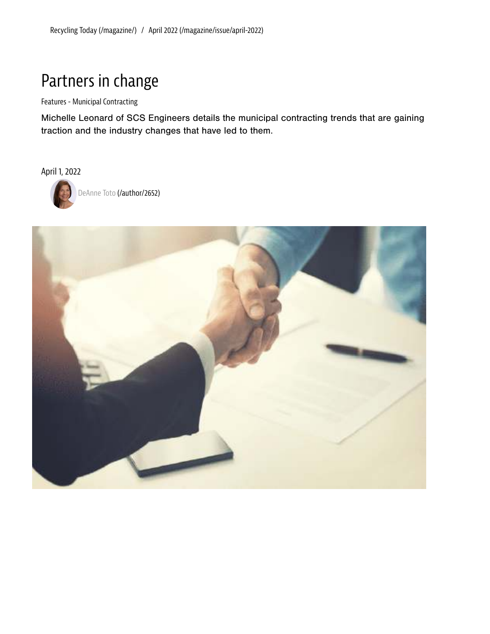## Partners in change

Features - Municipal Contracting

Michelle Leonard of SCS Engineers details the municipal contracting trends that are gaining traction and the industry changes that have led to them.

April 1, 2022



DeAnne Toto (/author/2652)

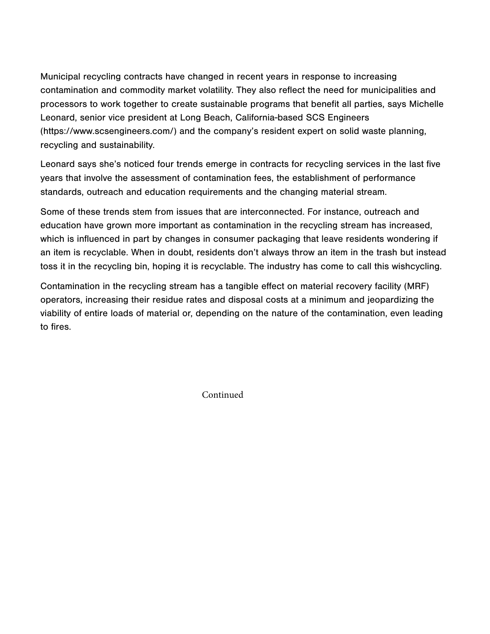Municipal recycling contracts have changed in recent years in response to increasing contamination and commodity market volatility. They also reflect the need for municipalities and processors to work together to create sustainable programs that benefit all parties, says Michelle Leonard, senior vice president at Long Beach, California-based SCS Engineers (https://www.scsengineers.com/) and the company's resident expert on solid waste planning, recycling and sustainability.

Leonard says she's noticed four trends emerge in contracts for recycling services in the last five years that involve the assessment of contamination fees, the establishment of performance standards, outreach and education requirements and the changing material stream.

Some of these trends stem from issues that are interconnected. For instance, outreach and education have grown more important as contamination in the recycling stream has increased, which is influenced in part by changes in consumer packaging that leave residents wondering if an item is recyclable. When in doubt, residents don't always throw an item in the trash but instead toss it in the recycling bin, hoping it is recyclable. The industry has come to call this wishcycling.

Contamination in the recycling stream has a tangible effect on material recovery facility (MRF) operators, increasing their residue rates and disposal costs at a minimum and jeopardizing the viability of entire loads of material or, depending on the nature of the contamination, even leading to fires.

Continued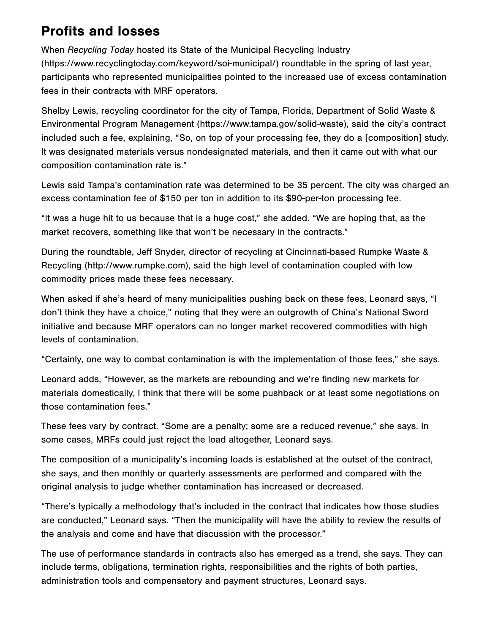## Profits and losses

When Recycling Today hosted its State of the Municipal Recycling Industry (https://www.recyclingtoday.com/keyword/soi-municipal/) roundtable in the spring of last year, participants who represented municipalities pointed to the increased use of excess contamination fees in their contracts with MRF operators.

Shelby Lewis, recycling coordinator for the city of Tampa, Florida, Department of Solid Waste & Environmental Program Management (https://www.tampa.gov/solid-waste), said the city's contract included such a fee, explaining, "So, on top of your processing fee, they do a [composition] study. It was designated materials versus nondesignated materials, and then it came out with what our composition contamination rate is."

Lewis said Tampa's contamination rate was determined to be 35 percent. The city was charged an excess contamination fee of \$150 per ton in addition to its \$90-per-ton processing fee.

"It was a huge hit to us because that is a huge cost," she added. "We are hoping that, as the market recovers, something like that won't be necessary in the contracts."

During the roundtable, Jeff Snyder, director of recycling at Cincinnati-based Rumpke Waste & Recycling (http://www.rumpke.com), said the high level of contamination coupled with low commodity prices made these fees necessary.

When asked if she's heard of many municipalities pushing back on these fees, Leonard says, "I don't think they have a choice," noting that they were an outgrowth of China's National Sword initiative and because MRF operators can no longer market recovered commodities with high levels of contamination.

"Certainly, one way to combat contamination is with the implementation of those fees," she says.

Leonard adds, "However, as the markets are rebounding and we're finding new markets for materials domestically, I think that there will be some pushback or at least some negotiations on those contamination fees."

These fees vary by contract. "Some are a penalty; some are a reduced revenue," she says. In some cases, MRFs could just reject the load altogether, Leonard says.

The composition of a municipality's incoming loads is established at the outset of the contract, she says, and then monthly or quarterly assessments are performed and compared with the original analysis to judge whether contamination has increased or decreased.

"There's typically a methodology that's included in the contract that indicates how those studies are conducted," Leonard says. "Then the municipality will have the ability to review the results of the analysis and come and have that discussion with the processor."

The use of performance standards in contracts also has emerged as a trend, she says. They can include terms, obligations, termination rights, responsibilities and the rights of both parties, administration tools and compensatory and payment structures, Leonard says.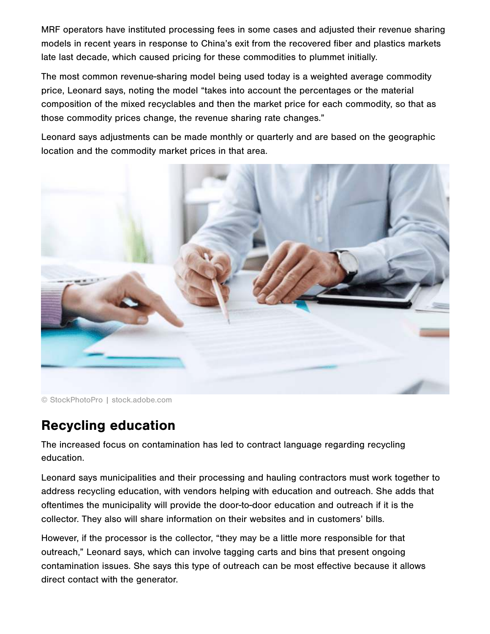MRF operators have instituted processing fees in some cases and adjusted their revenue sharing models in recent years in response to China's exit from the recovered fiber and plastics markets late last decade, which caused pricing for these commodities to plummet initially.

The most common revenue-sharing model being used today is a weighted average commodity price, Leonard says, noting the model "takes into account the percentages or the material composition of the mixed recyclables and then the market price for each commodity, so that as those commodity prices change, the revenue sharing rate changes."

Leonard says adjustments can be made monthly or quarterly and are based on the geographic location and the commodity market prices in that area.



© StockPhotoPro | stock.adobe.com

## Recycling education

The increased focus on contamination has led to contract language regarding recycling education.

Leonard says municipalities and their processing and hauling contractors must work together to address recycling education, with vendors helping with education and outreach. She adds that oftentimes the municipality will provide the door-to-door education and outreach if it is the collector. They also will share information on their websites and in customers' bills.

However, if the processor is the collector, "they may be a little more responsible for that outreach," Leonard says, which can involve tagging carts and bins that present ongoing contamination issues. She says this type of outreach can be most effective because it allows direct contact with the generator.